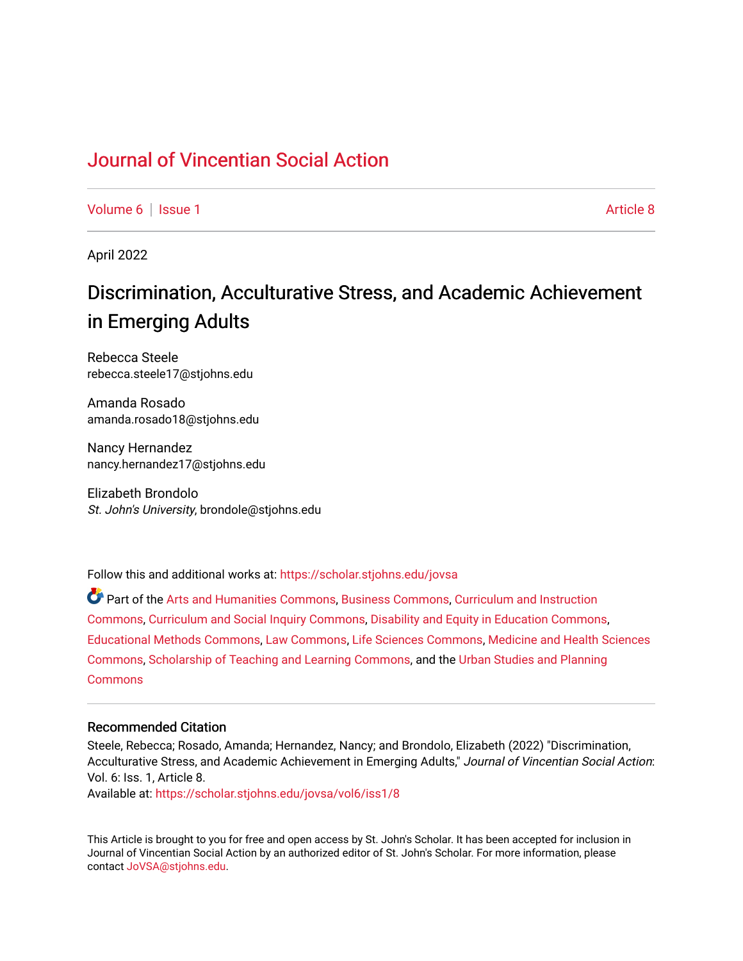# [Journal of Vincentian Social Action](https://scholar.stjohns.edu/jovsa)

[Volume 6](https://scholar.stjohns.edu/jovsa/vol6) | [Issue 1](https://scholar.stjohns.edu/jovsa/vol6/iss1) Article 8

April 2022

# Discrimination, Acculturative Stress, and Academic Achievement in Emerging Adults

Rebecca Steele rebecca.steele17@stjohns.edu

Amanda Rosado amanda.rosado18@stjohns.edu

Nancy Hernandez nancy.hernandez17@stjohns.edu

Elizabeth Brondolo St. John's University, brondole@stjohns.edu

Follow this and additional works at: [https://scholar.stjohns.edu/jovsa](https://scholar.stjohns.edu/jovsa?utm_source=scholar.stjohns.edu%2Fjovsa%2Fvol6%2Fiss1%2F8&utm_medium=PDF&utm_campaign=PDFCoverPages) 

Part of the [Arts and Humanities Commons,](http://network.bepress.com/hgg/discipline/438?utm_source=scholar.stjohns.edu%2Fjovsa%2Fvol6%2Fiss1%2F8&utm_medium=PDF&utm_campaign=PDFCoverPages) [Business Commons](http://network.bepress.com/hgg/discipline/622?utm_source=scholar.stjohns.edu%2Fjovsa%2Fvol6%2Fiss1%2F8&utm_medium=PDF&utm_campaign=PDFCoverPages), [Curriculum and Instruction](http://network.bepress.com/hgg/discipline/786?utm_source=scholar.stjohns.edu%2Fjovsa%2Fvol6%2Fiss1%2F8&utm_medium=PDF&utm_campaign=PDFCoverPages)  [Commons](http://network.bepress.com/hgg/discipline/786?utm_source=scholar.stjohns.edu%2Fjovsa%2Fvol6%2Fiss1%2F8&utm_medium=PDF&utm_campaign=PDFCoverPages), [Curriculum and Social Inquiry Commons](http://network.bepress.com/hgg/discipline/1038?utm_source=scholar.stjohns.edu%2Fjovsa%2Fvol6%2Fiss1%2F8&utm_medium=PDF&utm_campaign=PDFCoverPages), [Disability and Equity in Education Commons,](http://network.bepress.com/hgg/discipline/1040?utm_source=scholar.stjohns.edu%2Fjovsa%2Fvol6%2Fiss1%2F8&utm_medium=PDF&utm_campaign=PDFCoverPages) [Educational Methods Commons,](http://network.bepress.com/hgg/discipline/1227?utm_source=scholar.stjohns.edu%2Fjovsa%2Fvol6%2Fiss1%2F8&utm_medium=PDF&utm_campaign=PDFCoverPages) [Law Commons,](http://network.bepress.com/hgg/discipline/578?utm_source=scholar.stjohns.edu%2Fjovsa%2Fvol6%2Fiss1%2F8&utm_medium=PDF&utm_campaign=PDFCoverPages) [Life Sciences Commons](http://network.bepress.com/hgg/discipline/1016?utm_source=scholar.stjohns.edu%2Fjovsa%2Fvol6%2Fiss1%2F8&utm_medium=PDF&utm_campaign=PDFCoverPages), [Medicine and Health Sciences](http://network.bepress.com/hgg/discipline/648?utm_source=scholar.stjohns.edu%2Fjovsa%2Fvol6%2Fiss1%2F8&utm_medium=PDF&utm_campaign=PDFCoverPages) [Commons](http://network.bepress.com/hgg/discipline/648?utm_source=scholar.stjohns.edu%2Fjovsa%2Fvol6%2Fiss1%2F8&utm_medium=PDF&utm_campaign=PDFCoverPages), [Scholarship of Teaching and Learning Commons](http://network.bepress.com/hgg/discipline/1328?utm_source=scholar.stjohns.edu%2Fjovsa%2Fvol6%2Fiss1%2F8&utm_medium=PDF&utm_campaign=PDFCoverPages), and the [Urban Studies and Planning](http://network.bepress.com/hgg/discipline/436?utm_source=scholar.stjohns.edu%2Fjovsa%2Fvol6%2Fiss1%2F8&utm_medium=PDF&utm_campaign=PDFCoverPages)  **[Commons](http://network.bepress.com/hgg/discipline/436?utm_source=scholar.stjohns.edu%2Fjovsa%2Fvol6%2Fiss1%2F8&utm_medium=PDF&utm_campaign=PDFCoverPages)** 

#### Recommended Citation

Steele, Rebecca; Rosado, Amanda; Hernandez, Nancy; and Brondolo, Elizabeth (2022) "Discrimination, Acculturative Stress, and Academic Achievement in Emerging Adults," Journal of Vincentian Social Action: Vol. 6: Iss. 1, Article 8.

Available at: [https://scholar.stjohns.edu/jovsa/vol6/iss1/8](https://scholar.stjohns.edu/jovsa/vol6/iss1/8?utm_source=scholar.stjohns.edu%2Fjovsa%2Fvol6%2Fiss1%2F8&utm_medium=PDF&utm_campaign=PDFCoverPages) 

This Article is brought to you for free and open access by St. John's Scholar. It has been accepted for inclusion in Journal of Vincentian Social Action by an authorized editor of St. John's Scholar. For more information, please contact [JoVSA@stjohns.edu](mailto:JoVSA@stjohns.edu).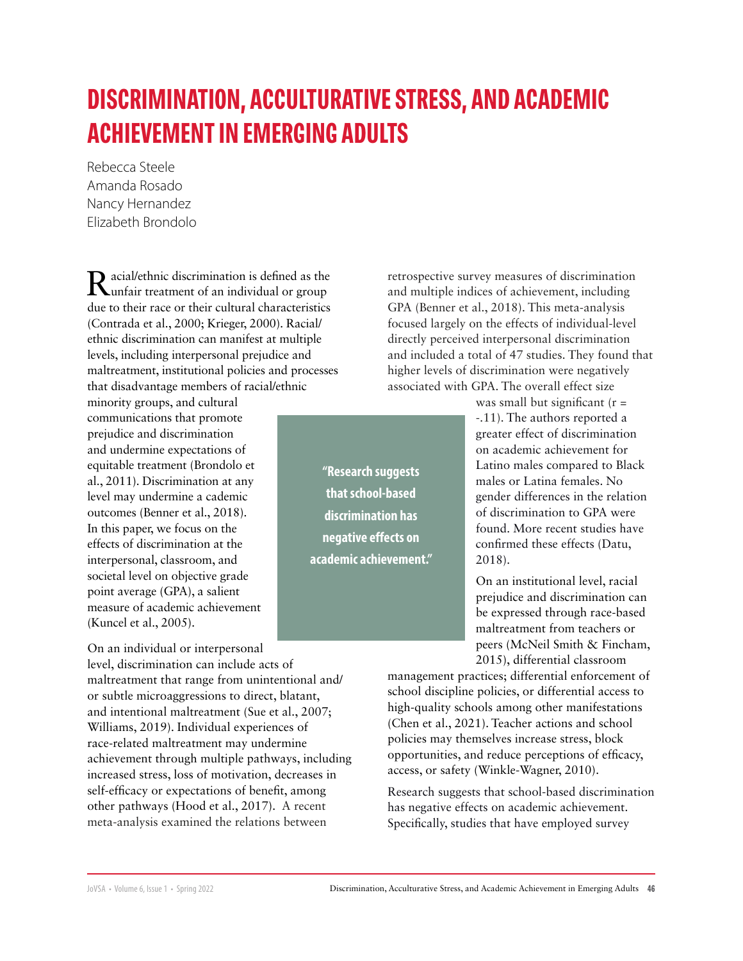# **DISCRIMINATION, ACCULTURATIVE STRESS, AND ACADEMIC ACHIEVEMENT IN EMERGING ADULTS**

Rebecca Steele Amanda Rosado Nancy Hernandez Elizabeth Brondolo

Racial/ethnic discrimination is defined as the unfair treatment of an individual or group due to their race or their cultural characteristics (Contrada et al., 2000; Krieger, 2000). Racial/ ethnic discrimination can manifest at multiple levels, including interpersonal prejudice and maltreatment, institutional policies and processes that disadvantage members of racial/ethnic

minority groups, and cultural communications that promote prejudice and discrimination and undermine expectations of equitable treatment (Brondolo et al., 2011). Discrimination at any level may undermine a cademic outcomes (Benner et al., 2018). In this paper, we focus on the effects of discrimination at the interpersonal, classroom, and societal level on objective grade point average (GPA), a salient measure of academic achievement (Kuncel et al., 2005).

On an individual or interpersonal level, discrimination can include acts of maltreatment that range from unintentional and/ or subtle microaggressions to direct, blatant, and intentional maltreatment (Sue et al., 2007; Williams, 2019). Individual experiences of race-related maltreatment may undermine achievement through multiple pathways, including increased stress, loss of motivation, decreases in self-efficacy or expectations of benefit, among other pathways (Hood et al., 2017). A recent meta-analysis examined the relations between

retrospective survey measures of discrimination and multiple indices of achievement, including GPA (Benner et al., 2018). This meta-analysis focused largely on the effects of individual-level directly perceived interpersonal discrimination and included a total of 47 studies. They found that higher levels of discrimination were negatively associated with GPA. The overall effect size

**"Research suggests that school-based discrimination has negative effects on academic achievement."** was small but significant  $(r =$ -.11). The authors reported a greater effect of discrimination on academic achievement for Latino males compared to Black males or Latina females. No gender differences in the relation of discrimination to GPA were found. More recent studies have confirmed these effects (Datu, 2018).

On an institutional level, racial prejudice and discrimination can be expressed through race-based maltreatment from teachers or peers (McNeil Smith & Fincham, 2015), differential classroom

management practices; differential enforcement of school discipline policies, or differential access to high-quality schools among other manifestations (Chen et al., 2021). Teacher actions and school policies may themselves increase stress, block opportunities, and reduce perceptions of efficacy, access, or safety (Winkle-Wagner, 2010).

Research suggests that school-based discrimination has negative effects on academic achievement. Specifically, studies that have employed survey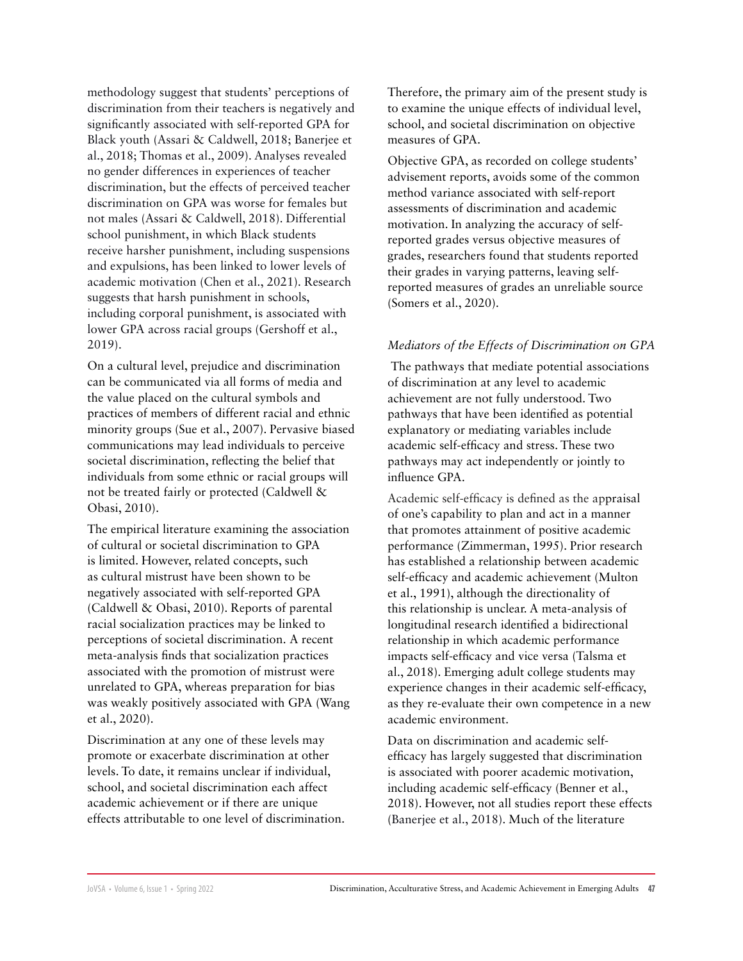methodology suggest that students' perceptions of discrimination from their teachers is negatively and significantly associated with self-reported GPA for Black youth (Assari & Caldwell, 2018; Banerjee et al., 2018; Thomas et al., 2009). Analyses revealed no gender differences in experiences of teacher discrimination, but the effects of perceived teacher discrimination on GPA was worse for females but not males (Assari & Caldwell, 2018). Differential school punishment, in which Black students receive harsher punishment, including suspensions and expulsions, has been linked to lower levels of academic motivation (Chen et al., 2021). Research suggests that harsh punishment in schools, including corporal punishment, is associated with lower GPA across racial groups (Gershoff et al., 2019).

On a cultural level, prejudice and discrimination can be communicated via all forms of media and the value placed on the cultural symbols and practices of members of different racial and ethnic minority groups (Sue et al., 2007). Pervasive biased communications may lead individuals to perceive societal discrimination, reflecting the belief that individuals from some ethnic or racial groups will not be treated fairly or protected (Caldwell & Obasi, 2010).

The empirical literature examining the association of cultural or societal discrimination to GPA is limited. However, related concepts, such as cultural mistrust have been shown to be negatively associated with self-reported GPA (Caldwell & Obasi, 2010). Reports of parental racial socialization practices may be linked to perceptions of societal discrimination. A recent meta-analysis finds that socialization practices associated with the promotion of mistrust were unrelated to GPA, whereas preparation for bias was weakly positively associated with GPA (Wang et al., 2020).

Discrimination at any one of these levels may promote or exacerbate discrimination at other levels. To date, it remains unclear if individual, school, and societal discrimination each affect academic achievement or if there are unique effects attributable to one level of discrimination. Therefore, the primary aim of the present study is to examine the unique effects of individual level, school, and societal discrimination on objective measures of GPA.

Objective GPA, as recorded on college students' advisement reports, avoids some of the common method variance associated with self-report assessments of discrimination and academic motivation. In analyzing the accuracy of selfreported grades versus objective measures of grades, researchers found that students reported their grades in varying patterns, leaving selfreported measures of grades an unreliable source (Somers et al., 2020).

#### *Mediators of the Effects of Discrimination on GPA*

The pathways that mediate potential associations of discrimination at any level to academic achievement are not fully understood. Two pathways that have been identified as potential explanatory or mediating variables include academic self-efficacy and stress. These two pathways may act independently or jointly to influence GPA.

Academic self-efficacy is defined as the appraisal of one's capability to plan and act in a manner that promotes attainment of positive academic performance (Zimmerman, 1995). Prior research has established a relationship between academic self-efficacy and academic achievement (Multon et al., 1991), although the directionality of this relationship is unclear. A meta-analysis of longitudinal research identified a bidirectional relationship in which academic performance impacts self-efficacy and vice versa (Talsma et al., 2018). Emerging adult college students may experience changes in their academic self-efficacy, as they re-evaluate their own competence in a new academic environment.

Data on discrimination and academic selfefficacy has largely suggested that discrimination is associated with poorer academic motivation, including academic self-efficacy (Benner et al., 2018). However, not all studies report these effects (Banerjee et al., 2018). Much of the literature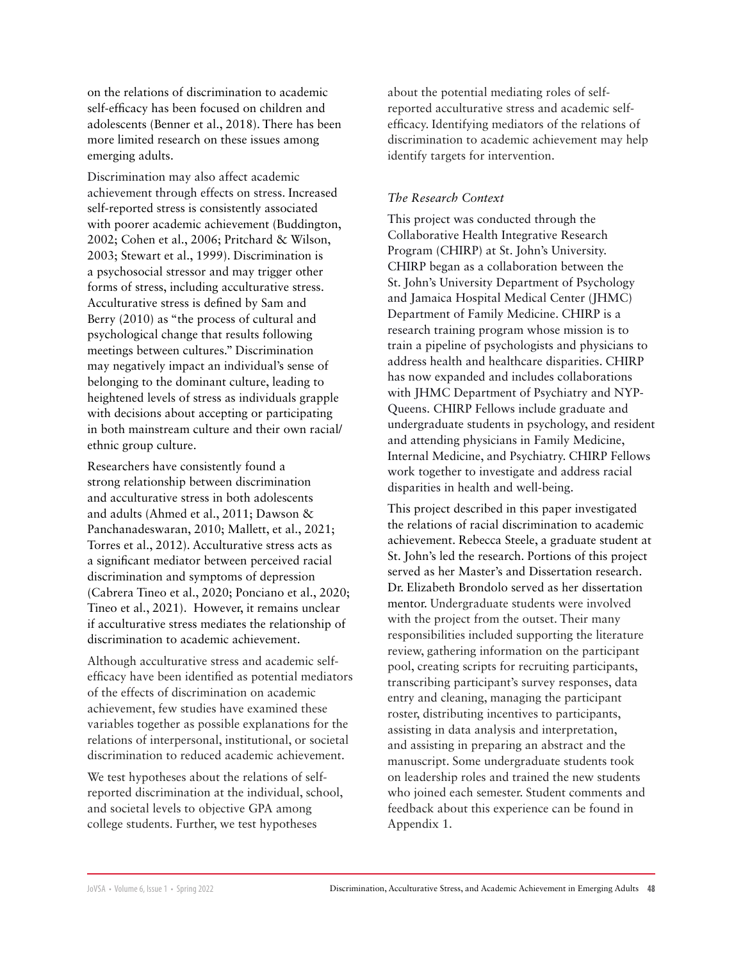on the relations of discrimination to academic self-efficacy has been focused on children and adolescents (Benner et al., 2018). There has been more limited research on these issues among emerging adults.

Discrimination may also affect academic achievement through effects on stress. Increased self-reported stress is consistently associated with poorer academic achievement (Buddington, 2002; Cohen et al., 2006; Pritchard & Wilson, 2003; Stewart et al., 1999). Discrimination is a psychosocial stressor and may trigger other forms of stress, including acculturative stress. Acculturative stress is defined by Sam and Berry (2010) as "the process of cultural and psychological change that results following meetings between cultures." Discrimination may negatively impact an individual's sense of belonging to the dominant culture, leading to heightened levels of stress as individuals grapple with decisions about accepting or participating in both mainstream culture and their own racial/ ethnic group culture.

Researchers have consistently found a strong relationship between discrimination and acculturative stress in both adolescents and adults (Ahmed et al., 2011; Dawson & Panchanadeswaran, 2010; Mallett, et al., 2021; Torres et al., 2012). Acculturative stress acts as a significant mediator between perceived racial discrimination and symptoms of depression (Cabrera Tineo et al., 2020; Ponciano et al., 2020; Tineo et al., 2021). However, it remains unclear if acculturative stress mediates the relationship of discrimination to academic achievement.

Although acculturative stress and academic selfefficacy have been identified as potential mediators of the effects of discrimination on academic achievement, few studies have examined these variables together as possible explanations for the relations of interpersonal, institutional, or societal discrimination to reduced academic achievement.

We test hypotheses about the relations of selfreported discrimination at the individual, school, and societal levels to objective GPA among college students. Further, we test hypotheses

about the potential mediating roles of selfreported acculturative stress and academic selfefficacy. Identifying mediators of the relations of discrimination to academic achievement may help identify targets for intervention.

#### *The Research Context*

This project was conducted through the Collaborative Health Integrative Research Program (CHIRP) at St. John's University. CHIRP began as a collaboration between the St. John's University Department of Psychology and Jamaica Hospital Medical Center (JHMC) Department of Family Medicine. CHIRP is a research training program whose mission is to train a pipeline of psychologists and physicians to address health and healthcare disparities. CHIRP has now expanded and includes collaborations with JHMC Department of Psychiatry and NYP-Queens. CHIRP Fellows include graduate and undergraduate students in psychology, and resident and attending physicians in Family Medicine, Internal Medicine, and Psychiatry. CHIRP Fellows work together to investigate and address racial disparities in health and well-being.

This project described in this paper investigated the relations of racial discrimination to academic achievement. Rebecca Steele, a graduate student at St. John's led the research. Portions of this project served as her Master's and Dissertation research. Dr. Elizabeth Brondolo served as her dissertation mentor. Undergraduate students were involved with the project from the outset. Their many responsibilities included supporting the literature review, gathering information on the participant pool, creating scripts for recruiting participants, transcribing participant's survey responses, data entry and cleaning, managing the participant roster, distributing incentives to participants, assisting in data analysis and interpretation, and assisting in preparing an abstract and the manuscript. Some undergraduate students took on leadership roles and trained the new students who joined each semester. Student comments and feedback about this experience can be found in Appendix 1.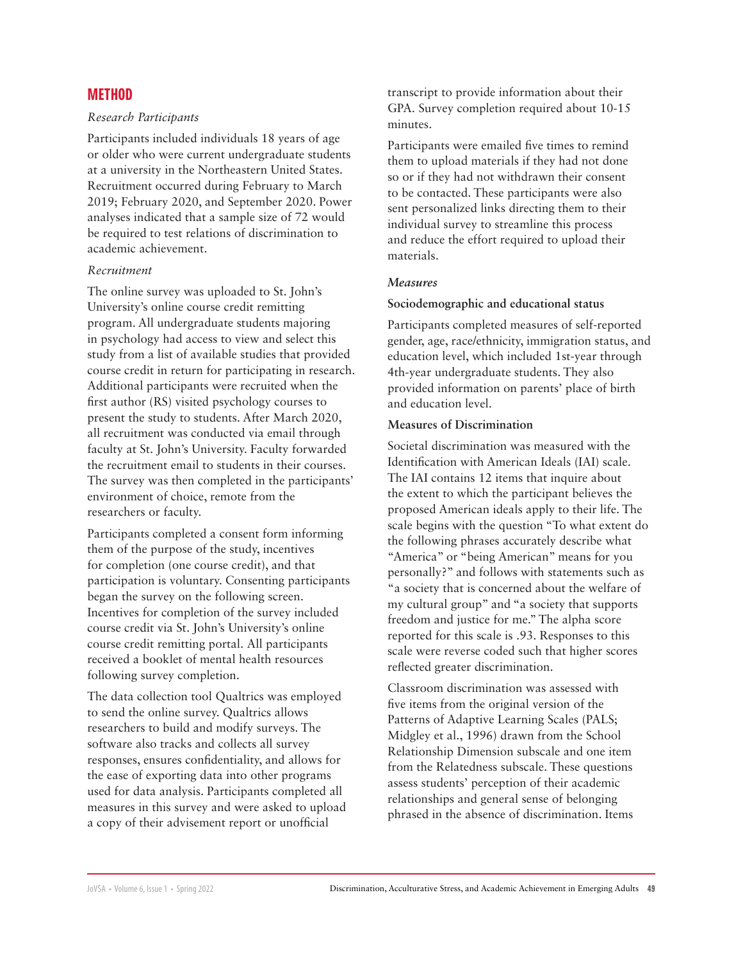### **METHOD**

#### *Research Participants*

Participants included individuals 18 years of age or older who were current undergraduate students at a university in the Northeastern United States. Recruitment occurred during February to March 2019; February 2020, and September 2020. Power analyses indicated that a sample size of 72 would be required to test relations of discrimination to academic achievement.

#### *Recruitment*

The online survey was uploaded to St. John's University's online course credit remitting program. All undergraduate students majoring in psychology had access to view and select this study from a list of available studies that provided course credit in return for participating in research. Additional participants were recruited when the first author (RS) visited psychology courses to present the study to students. After March 2020, all recruitment was conducted via email through faculty at St. John's University. Faculty forwarded the recruitment email to students in their courses. The survey was then completed in the participants' environment of choice, remote from the researchers or faculty.

Participants completed a consent form informing them of the purpose of the study, incentives for completion (one course credit), and that participation is voluntary. Consenting participants began the survey on the following screen. Incentives for completion of the survey included course credit via St. John's University's online course credit remitting portal. All participants received a booklet of mental health resources following survey completion.

The data collection tool Qualtrics was employed to send the online survey. Qualtrics allows researchers to build and modify surveys. The software also tracks and collects all survey responses, ensures confidentiality, and allows for the ease of exporting data into other programs used for data analysis. Participants completed all measures in this survey and were asked to upload a copy of their advisement report or unofficial

transcript to provide information about their GPA. Survey completion required about 10-15 minutes.

Participants were emailed five times to remind them to upload materials if they had not done so or if they had not withdrawn their consent to be contacted. These participants were also sent personalized links directing them to their individual survey to streamline this process and reduce the effort required to upload their materials.

#### *Measures*

#### **Sociodemographic and educational status**

Participants completed measures of self-reported gender, age, race/ethnicity, immigration status, and education level, which included 1st-year through 4th-year undergraduate students. They also provided information on parents' place of birth and education level.

#### **Measures of Discrimination**

Societal discrimination was measured with the Identification with American Ideals (IAI) scale. The IAI contains 12 items that inquire about the extent to which the participant believes the proposed American ideals apply to their life. The scale begins with the question "To what extent do the following phrases accurately describe what "America" or "being American" means for you personally?" and follows with statements such as "a society that is concerned about the welfare of my cultural group" and "a society that supports freedom and justice for me." The alpha score reported for this scale is .93. Responses to this scale were reverse coded such that higher scores reflected greater discrimination.

Classroom discrimination was assessed with five items from the original version of the Patterns of Adaptive Learning Scales (PALS; Midgley et al., 1996) drawn from the School Relationship Dimension subscale and one item from the Relatedness subscale. These questions assess students' perception of their academic relationships and general sense of belonging phrased in the absence of discrimination. Items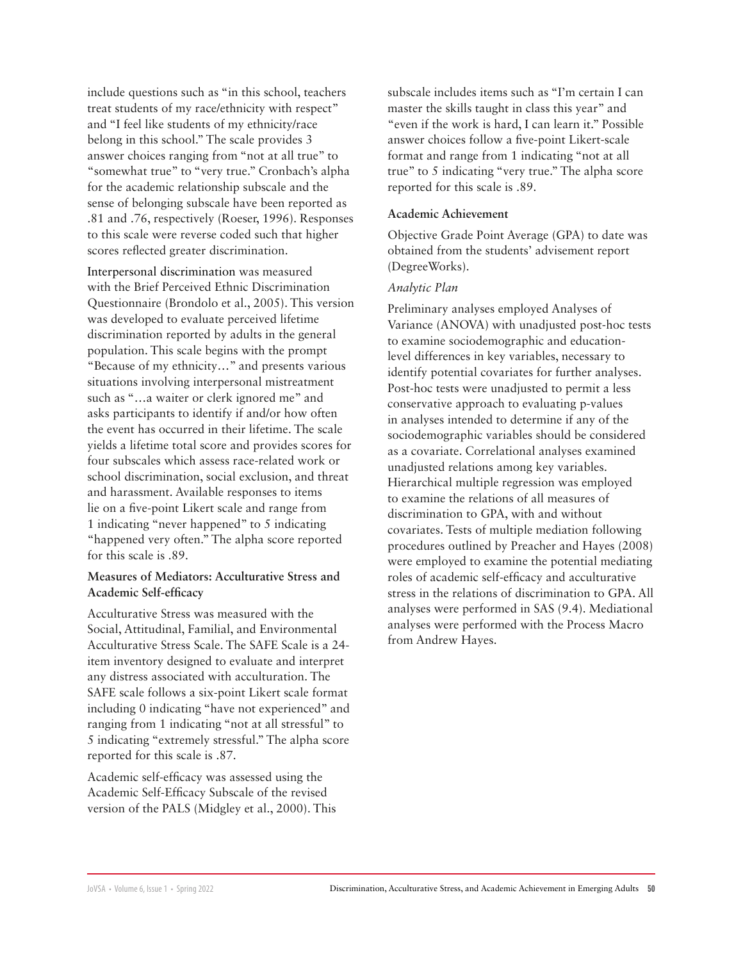include questions such as "in this school, teachers treat students of my race/ethnicity with respect" and "I feel like students of my ethnicity/race belong in this school." The scale provides 3 answer choices ranging from "not at all true" to "somewhat true" to "very true." Cronbach's alpha for the academic relationship subscale and the sense of belonging subscale have been reported as .81 and .76, respectively (Roeser, 1996). Responses to this scale were reverse coded such that higher scores reflected greater discrimination.

Interpersonal discrimination was measured with the Brief Perceived Ethnic Discrimination Questionnaire (Brondolo et al., 2005). This version was developed to evaluate perceived lifetime discrimination reported by adults in the general population. This scale begins with the prompt "Because of my ethnicity…" and presents various situations involving interpersonal mistreatment such as "…a waiter or clerk ignored me" and asks participants to identify if and/or how often the event has occurred in their lifetime. The scale yields a lifetime total score and provides scores for four subscales which assess race-related work or school discrimination, social exclusion, and threat and harassment. Available responses to items lie on a five-point Likert scale and range from 1 indicating "never happened" to 5 indicating "happened very often." The alpha score reported for this scale is .89.

#### **Measures of Mediators: Acculturative Stress and Academic Self-efficacy**

Acculturative Stress was measured with the Social, Attitudinal, Familial, and Environmental Acculturative Stress Scale. The SAFE Scale is a 24 item inventory designed to evaluate and interpret any distress associated with acculturation. The SAFE scale follows a six-point Likert scale format including 0 indicating "have not experienced" and ranging from 1 indicating "not at all stressful" to 5 indicating "extremely stressful." The alpha score reported for this scale is .87.

Academic self-efficacy was assessed using the Academic Self-Efficacy Subscale of the revised version of the PALS (Midgley et al., 2000). This

subscale includes items such as "I'm certain I can master the skills taught in class this year" and "even if the work is hard, I can learn it." Possible answer choices follow a five-point Likert-scale format and range from 1 indicating "not at all true" to 5 indicating "very true." The alpha score reported for this scale is .89.

#### **Academic Achievement**

Objective Grade Point Average (GPA) to date was obtained from the students' advisement report (DegreeWorks).

#### *Analytic Plan*

Preliminary analyses employed Analyses of Variance (ANOVA) with unadjusted post-hoc tests to examine sociodemographic and educationlevel differences in key variables, necessary to identify potential covariates for further analyses. Post-hoc tests were unadjusted to permit a less conservative approach to evaluating p-values in analyses intended to determine if any of the sociodemographic variables should be considered as a covariate. Correlational analyses examined unadjusted relations among key variables. Hierarchical multiple regression was employed to examine the relations of all measures of discrimination to GPA, with and without covariates. Tests of multiple mediation following procedures outlined by Preacher and Hayes (2008) were employed to examine the potential mediating roles of academic self-efficacy and acculturative stress in the relations of discrimination to GPA. All analyses were performed in SAS (9.4). Mediational analyses were performed with the Process Macro from Andrew Hayes.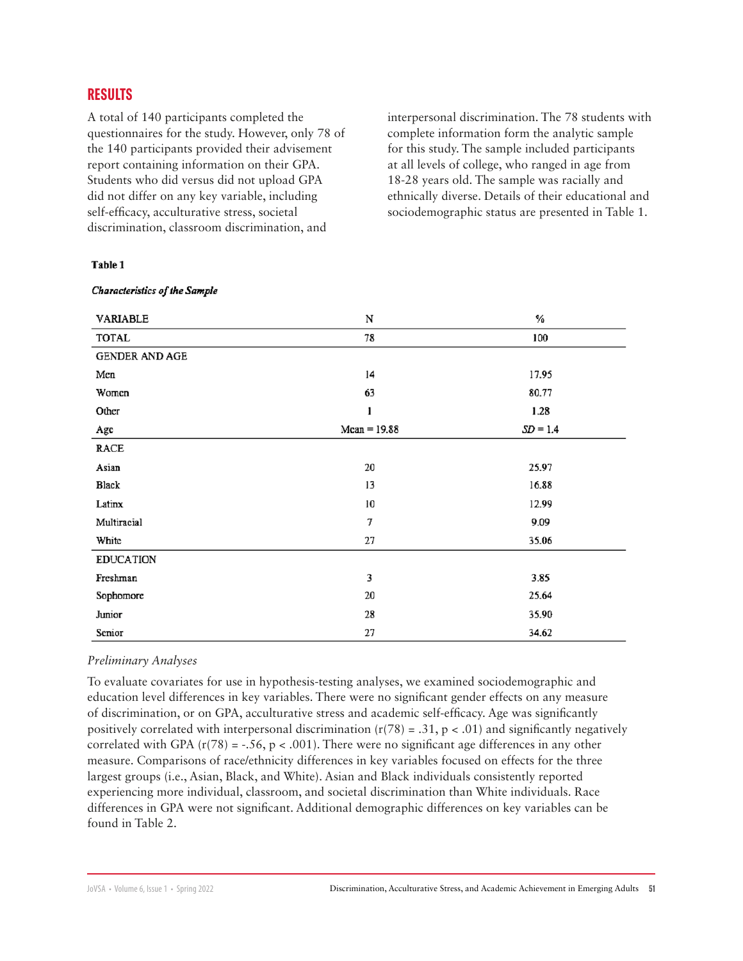## **RESULTS**

A total of 140 participants completed the questionnaires for the study. However, only 78 of the 140 participants provided their advisement report containing information on their GPA. Students who did versus did not upload GPA did not differ on any key variable, including self-efficacy, acculturative stress, societal discrimination, classroom discrimination, and

interpersonal discrimination. The 78 students with complete information form the analytic sample for this study. The sample included participants at all levels of college, who ranged in age from 18-28 years old. The sample was racially and ethnically diverse. Details of their educational and sociodemographic status are presented in Table 1.

#### Table 1

| VARIABLE         | N              | %          |
|------------------|----------------|------------|
| TOTAL            | 78             | 100        |
| GENDER AND AGE   |                |            |
| Men              | 14             | 17.95      |
| Women            | 63             | 80.77      |
| Other            | ı              | 1.28       |
| Age              | $Mean = 19.88$ | $SD = 1.4$ |
| <b>RACE</b>      |                |            |
| Asian            | 20             | 25.97      |
| Black            | 13             | 16.88      |
| Latinx           | 10             | 12.99      |
| Multiracial      | 7              | 9.09       |
| White            | 27             | 35.06      |
| <b>EDUCATION</b> |                |            |
| Freshman         | 3              | 3.85       |
| Sophomore        | 20             | 25.64      |
| Junior           | 28             | 35.90      |
| Senior           | 27             | 34.62      |

#### **Characteristics of the Sample**

#### *Preliminary Analyses*

To evaluate covariates for use in hypothesis-testing analyses, we examined sociodemographic and education level differences in key variables. There were no significant gender effects on any measure of discrimination, or on GPA, acculturative stress and academic self-efficacy. Age was significantly positively correlated with interpersonal discrimination  $(r(78) = .31, p < .01)$  and significantly negatively correlated with GPA  $(r(78) = -.56, p < .001)$ . There were no significant age differences in any other measure. Comparisons of race/ethnicity differences in key variables focused on effects for the three largest groups (i.e., Asian, Black, and White). Asian and Black individuals consistently reported experiencing more individual, classroom, and societal discrimination than White individuals. Race differences in GPA were not significant. Additional demographic differences on key variables can be found in Table 2.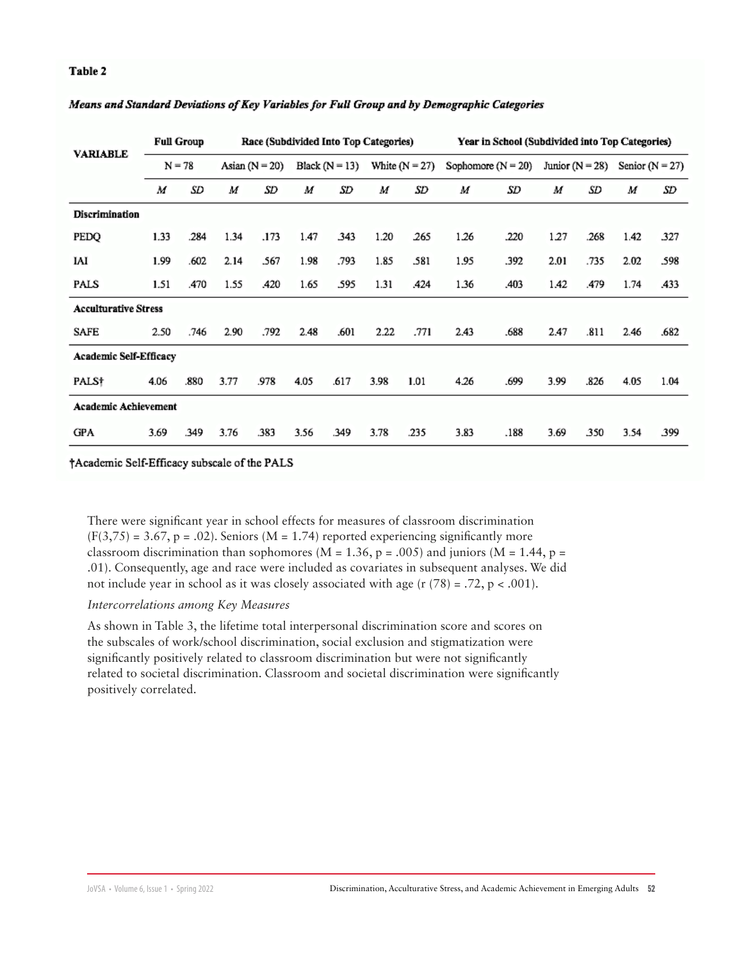#### **Table 2**

| <b>VARIABLE</b>               |          | <b>Full Group</b> | Race (Subdivided Into Top Categories) |      |                    |      |                  | Year in School (Subdivided into Top Categories) |                      |      |                     |      |                   |      |
|-------------------------------|----------|-------------------|---------------------------------------|------|--------------------|------|------------------|-------------------------------------------------|----------------------|------|---------------------|------|-------------------|------|
|                               | $N = 78$ |                   | Asian $(N = 20)$                      |      | Black ( $N = 13$ ) |      | White $(N = 27)$ |                                                 | Sophomore $(N = 20)$ |      | Junior ( $N = 28$ ) |      | Senior $(N = 27)$ |      |
|                               | M        | SD                | M                                     | SD   | M                  | SD   | M                | SD                                              | M                    | SD   | M                   | SD   | M                 | SD   |
| Discrimination                |          |                   |                                       |      |                    |      |                  |                                                 |                      |      |                     |      |                   |      |
| PEDQ                          | 1.33     | .284              | 1.34                                  | .173 | 1.47               | 343  | 1.20             | 265                                             | 1.26                 | .220 | 1.27                | .268 | 1.42              | 327  |
| IAI                           | 1.99     | .602              | 2.14                                  | .567 | 1.98               | .793 | 1.85             | .581                                            | 1.95                 | .392 | 2.01                | .735 | 2.02              | .598 |
| PALS                          | 1.51     | .470              | 1.55                                  | .420 | 1.65               | .595 | 1.31             | .424                                            | 1.36                 | .403 | 1.42                | .479 | 1.74              | .433 |
| <b>Acculturative Stress</b>   |          |                   |                                       |      |                    |      |                  |                                                 |                      |      |                     |      |                   |      |
| SAFE                          | 2.50     | .746              | 2.90                                  | .792 | 2.48               | .601 | 2.22             | .771                                            | 2.43                 | .688 | 2.47                | .811 | 2.46              | .682 |
| <b>Academic Self-Efficacy</b> |          |                   |                                       |      |                    |      |                  |                                                 |                      |      |                     |      |                   |      |
| PALS†                         | 4.06     | .880              | 3.77                                  | .978 | 4.05               | .617 | 3.98             | 1.01                                            | 4.26                 | .699 | 3.99                | .826 | 4.05              | 1.04 |
| <b>Academic Achievement</b>   |          |                   |                                       |      |                    |      |                  |                                                 |                      |      |                     |      |                   |      |
| <b>GPA</b>                    | 3.69     | .349              | 3.76                                  | .383 | 3.56               | .349 | 3.78             | .235                                            | 3.83                 | .188 | 3.69                | 350  | 3.54              | 399  |

#### Means and Standard Deviations of Key Variables for Full Group and by Demographic Categories

†Academic Self-Efficacy subscale of the PALS

There were significant year in school effects for measures of classroom discrimination  $(F(3,75) = 3.67, p = .02)$ . Seniors (M = 1.74) reported experiencing significantly more classroom discrimination than sophomores ( $M = 1.36$ ,  $p = .005$ ) and juniors ( $M = 1.44$ ,  $p =$ .01). Consequently, age and race were included as covariates in subsequent analyses. We did not include year in school as it was closely associated with age  $(r (78) = .72, p < .001)$ .

#### *Intercorrelations among Key Measures*

As shown in Table 3, the lifetime total interpersonal discrimination score and scores on the subscales of work/school discrimination, social exclusion and stigmatization were significantly positively related to classroom discrimination but were not significantly related to societal discrimination. Classroom and societal discrimination were significantly positively correlated.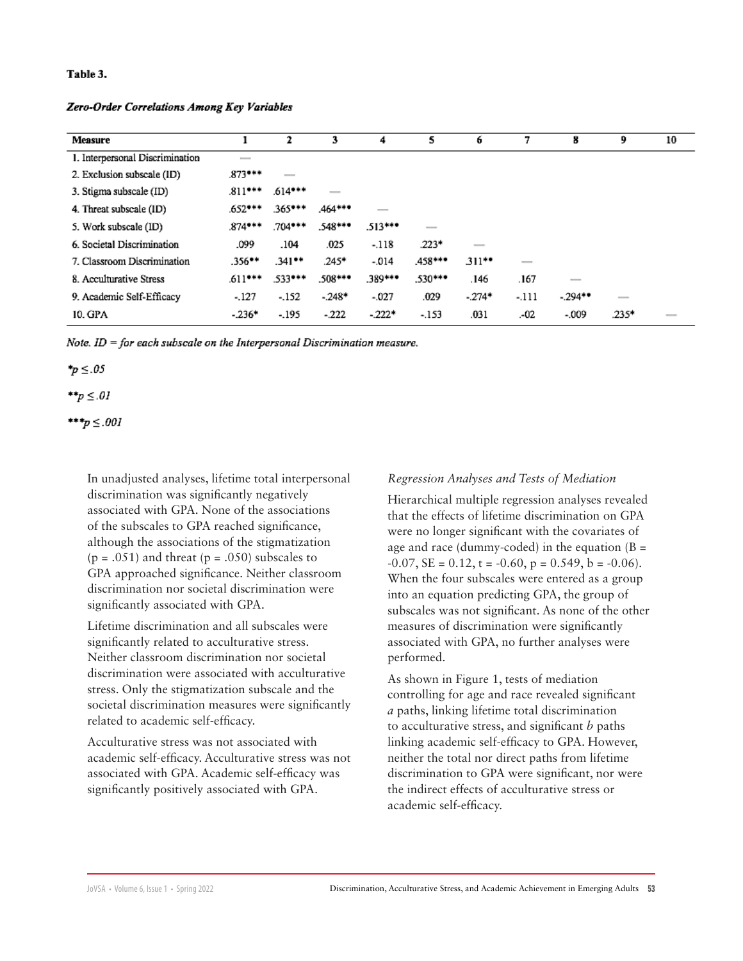#### Table 3.

Zero-Order Correlations Among Key Variables

| <b>Measure</b>                  |                          | 2             | 3                        | 4             | 5                        | 6                        | 7                                                                                                                                                                                                                                                                                                                                                                                                                                                                          | 8                        | 9                        | 10 |
|---------------------------------|--------------------------|---------------|--------------------------|---------------|--------------------------|--------------------------|----------------------------------------------------------------------------------------------------------------------------------------------------------------------------------------------------------------------------------------------------------------------------------------------------------------------------------------------------------------------------------------------------------------------------------------------------------------------------|--------------------------|--------------------------|----|
| 1. Interpersonal Discrimination | $\overline{\phantom{a}}$ |               |                          |               |                          |                          |                                                                                                                                                                                                                                                                                                                                                                                                                                                                            |                          |                          |    |
| 2. Exclusion subscale (ID)      | $.873***$                | $\frac{1}{2}$ |                          |               |                          |                          |                                                                                                                                                                                                                                                                                                                                                                                                                                                                            |                          |                          |    |
| 3. Stigma subscale (ID)         | $.811***$                | $.614***$     | $\overline{\phantom{a}}$ |               |                          |                          |                                                                                                                                                                                                                                                                                                                                                                                                                                                                            |                          |                          |    |
| 4. Threat subscale (ID)         | .652***                  | .365***       | $.464***$                | $\frac{1}{2}$ |                          |                          |                                                                                                                                                                                                                                                                                                                                                                                                                                                                            |                          |                          |    |
| 5. Work subscale (ID)           | $.874***$                | $.704***$     | .548***                  | $513***$      | $\overline{\phantom{a}}$ |                          |                                                                                                                                                                                                                                                                                                                                                                                                                                                                            |                          |                          |    |
| 6. Societal Discrimination      | .099                     | .104          | .025                     | $-.118$       | $.223*$                  | $\overline{\phantom{a}}$ |                                                                                                                                                                                                                                                                                                                                                                                                                                                                            |                          |                          |    |
| 7. Classroom Discrimination     | $.356**$                 | 341**         | $.245*$                  | $-0.014$      | .458***                  | $311**$                  | $\frac{1}{2} \left( \frac{1}{2} \right) \left( \frac{1}{2} \right) \left( \frac{1}{2} \right) \left( \frac{1}{2} \right) \left( \frac{1}{2} \right) \left( \frac{1}{2} \right) \left( \frac{1}{2} \right) \left( \frac{1}{2} \right) \left( \frac{1}{2} \right) \left( \frac{1}{2} \right) \left( \frac{1}{2} \right) \left( \frac{1}{2} \right) \left( \frac{1}{2} \right) \left( \frac{1}{2} \right) \left( \frac{1}{2} \right) \left( \frac{1}{2} \right) \left( \frac$ |                          |                          |    |
| 8. Acculturative Stress         | $.611***$                | .533***       | $.508***$                | .389***       | $.530***$                | .146                     | .167                                                                                                                                                                                                                                                                                                                                                                                                                                                                       | $\overline{\phantom{a}}$ |                          |    |
| 9. Academic Self-Efficacy       | $-.127$                  | $-152$        | $-248*$                  | $-0.027$      | .029                     | $-274*$                  | -.111                                                                                                                                                                                                                                                                                                                                                                                                                                                                      | $-294**$                 | $\overline{\phantom{a}}$ |    |
| 10. GPA                         | $-236*$                  | $-195$        | $-222$                   | $-222*$       | $-.153$                  | .031                     | .-02                                                                                                                                                                                                                                                                                                                                                                                                                                                                       | $-009$                   | $.235*$                  | __ |

Note.  $ID = for each subscale on the Interpersonal Discrimination measure$ .

 $\tau_p \leq .05$ 

$$
**_p \leq .01
$$

\*\*\* $p \le .001$ 

In unadjusted analyses, lifetime total interpersonal discrimination was significantly negatively associated with GPA. None of the associations of the subscales to GPA reached significance, although the associations of the stigmatization  $(p = .051)$  and threat  $(p = .050)$  subscales to GPA approached significance. Neither classroom discrimination nor societal discrimination were significantly associated with GPA.

Lifetime discrimination and all subscales were significantly related to acculturative stress. Neither classroom discrimination nor societal discrimination were associated with acculturative stress. Only the stigmatization subscale and the societal discrimination measures were significantly related to academic self-efficacy.

Acculturative stress was not associated with academic self-efficacy. Acculturative stress was not associated with GPA. Academic self-efficacy was significantly positively associated with GPA.

#### *Regression Analyses and Tests of Mediation*

Hierarchical multiple regression analyses revealed that the effects of lifetime discrimination on GPA were no longer significant with the covariates of age and race (dummy-coded) in the equation  $(B =$  $-0.07$ ,  $SE = 0.12$ ,  $t = -0.60$ ,  $p = 0.549$ ,  $b = -0.06$ ). When the four subscales were entered as a group into an equation predicting GPA, the group of subscales was not significant. As none of the other measures of discrimination were significantly associated with GPA, no further analyses were performed.

As shown in Figure 1, tests of mediation controlling for age and race revealed significant *a* paths, linking lifetime total discrimination to acculturative stress, and significant *b* paths linking academic self-efficacy to GPA. However, neither the total nor direct paths from lifetime discrimination to GPA were significant, nor were the indirect effects of acculturative stress or academic self-efficacy.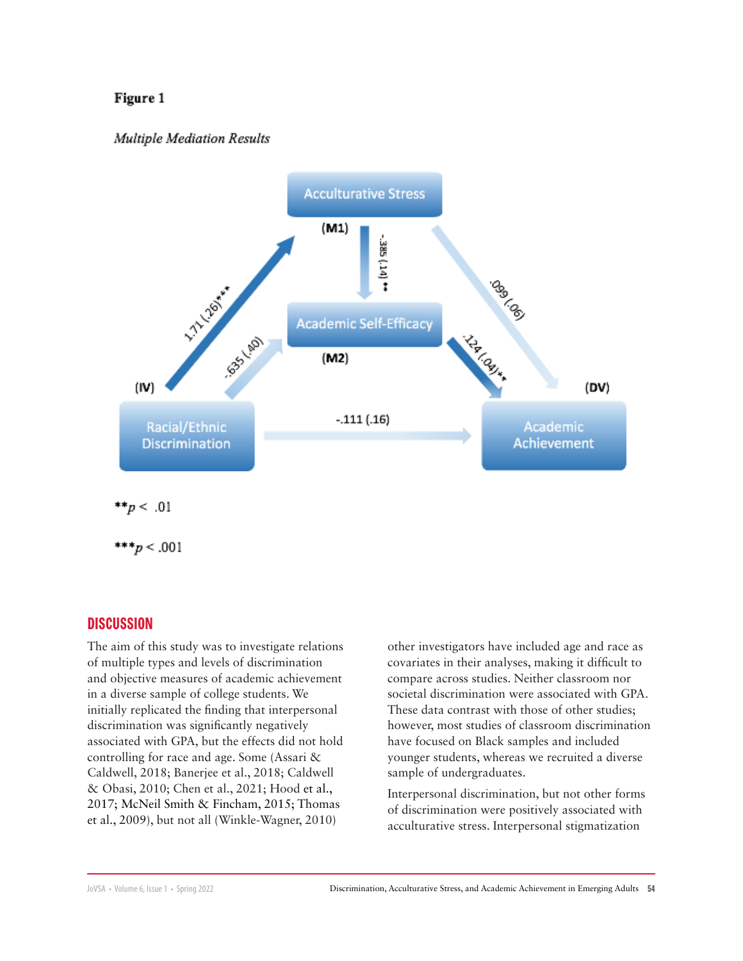#### Figure 1

#### Multiple Mediation Results



\*\*\* $p < .001$ 

#### **DISCUSSION**

The aim of this study was to investigate relations of multiple types and levels of discrimination and objective measures of academic achievement in a diverse sample of college students. We initially replicated the finding that interpersonal discrimination was significantly negatively associated with GPA, but the effects did not hold controlling for race and age. Some (Assari & Caldwell, 2018; Banerjee et al., 2018; Caldwell & Obasi, 2010; Chen et al., 2021; Hood et al., 2017; McNeil Smith & Fincham, 2015; Thomas et al., 2009), but not all (Winkle-Wagner, 2010)

other investigators have included age and race as covariates in their analyses, making it difficult to compare across studies. Neither classroom nor societal discrimination were associated with GPA. These data contrast with those of other studies; however, most studies of classroom discrimination have focused on Black samples and included younger students, whereas we recruited a diverse sample of undergraduates.

Interpersonal discrimination, but not other forms of discrimination were positively associated with acculturative stress. Interpersonal stigmatization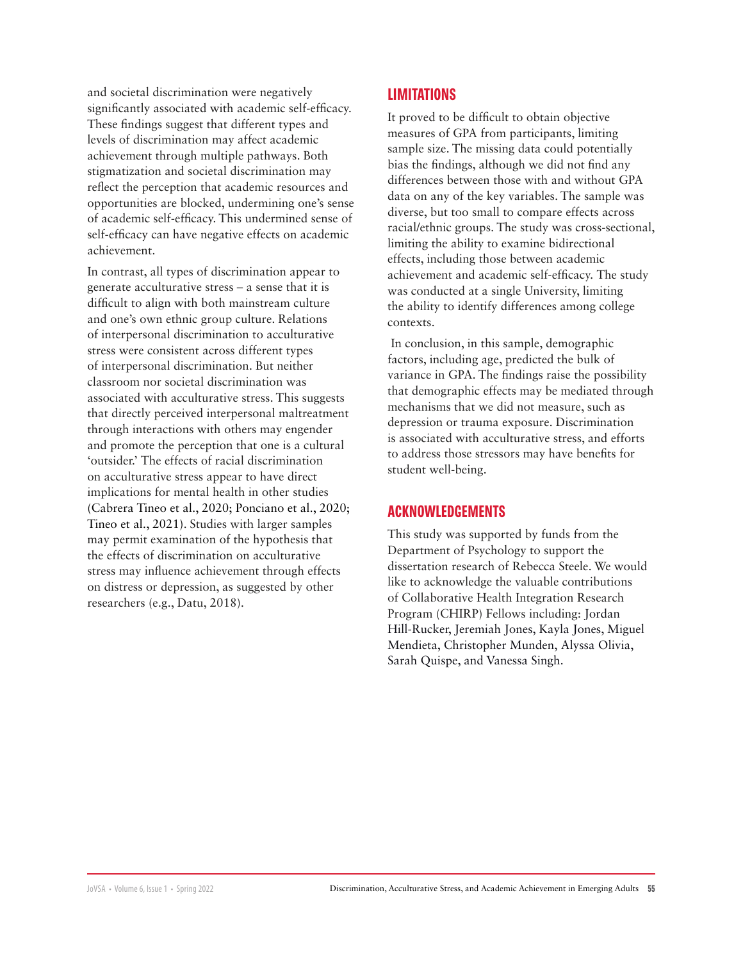and societal discrimination were negatively significantly associated with academic self-efficacy. These findings suggest that different types and levels of discrimination may affect academic achievement through multiple pathways. Both stigmatization and societal discrimination may reflect the perception that academic resources and opportunities are blocked, undermining one's sense of academic self-efficacy. This undermined sense of self-efficacy can have negative effects on academic achievement.

In contrast, all types of discrimination appear to generate acculturative stress – a sense that it is difficult to align with both mainstream culture and one's own ethnic group culture. Relations of interpersonal discrimination to acculturative stress were consistent across different types of interpersonal discrimination. But neither classroom nor societal discrimination was associated with acculturative stress. This suggests that directly perceived interpersonal maltreatment through interactions with others may engender and promote the perception that one is a cultural 'outsider.' The effects of racial discrimination on acculturative stress appear to have direct implications for mental health in other studies (Cabrera Tineo et al., 2020; Ponciano et al., 2020; Tineo et al., 2021). Studies with larger samples may permit examination of the hypothesis that the effects of discrimination on acculturative stress may influence achievement through effects on distress or depression, as suggested by other researchers (e.g., Datu, 2018).

# **LIMITATIONS**

It proved to be difficult to obtain objective measures of GPA from participants, limiting sample size. The missing data could potentially bias the findings, although we did not find any differences between those with and without GPA data on any of the key variables. The sample was diverse, but too small to compare effects across racial/ethnic groups. The study was cross-sectional, limiting the ability to examine bidirectional effects, including those between academic achievement and academic self-efficacy. The study was conducted at a single University, limiting the ability to identify differences among college contexts.

 In conclusion, in this sample, demographic factors, including age, predicted the bulk of variance in GPA. The findings raise the possibility that demographic effects may be mediated through mechanisms that we did not measure, such as depression or trauma exposure. Discrimination is associated with acculturative stress, and efforts to address those stressors may have benefits for student well-being.

# **ACKNOWLEDGEMENTS**

This study was supported by funds from the Department of Psychology to support the dissertation research of Rebecca Steele. We would like to acknowledge the valuable contributions of Collaborative Health Integration Research Program (CHIRP) Fellows including: Jordan Hill-Rucker, Jeremiah Jones, Kayla Jones, Miguel Mendieta, Christopher Munden, Alyssa Olivia, Sarah Quispe, and Vanessa Singh.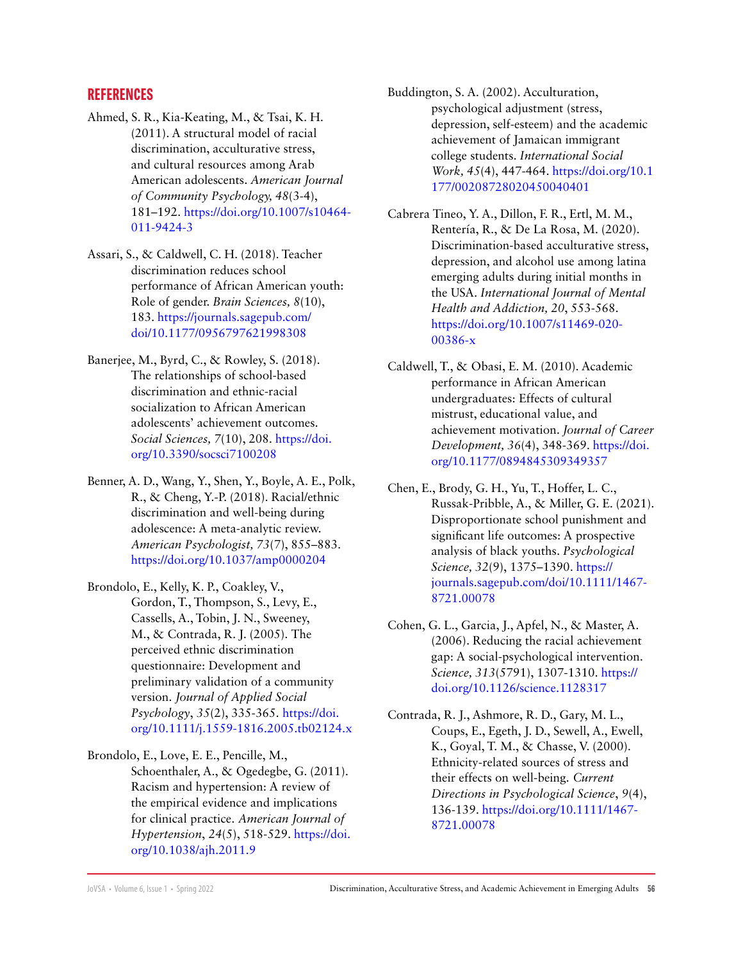# **REFERENCES**

- Ahmed, S. R., Kia-Keating, M., & Tsai, K. H. (2011). A structural model of racial discrimination, acculturative stress, and cultural resources among Arab American adolescents. *American Journal of Community Psychology, 48*(3-4), 181–192. https://doi.org/10.1007/s10464- 011-9424-3
- Assari, S., & Caldwell, C. H. (2018). Teacher discrimination reduces school performance of African American youth: Role of gender. *Brain Sciences, 8*(10), 183. [https://journals.sagepub.com/](https://journals.sagepub.com/doi/10.1177/0956797621998308) [doi/10.1177/0956797621998308](https://journals.sagepub.com/doi/10.1177/0956797621998308)
- Banerjee, M., Byrd, C., & Rowley, S. (2018). The relationships of school-based discrimination and ethnic-racial socialization to African American adolescents' achievement outcomes. *Social Sciences, 7*(10), 208. [https://doi.](https://www.mdpi.com/2076-0760/7/10/208) [org/10.3390/socsci7100208](https://www.mdpi.com/2076-0760/7/10/208)
- Benner, A. D., Wang, Y., Shen, Y., Boyle, A. E., Polk, R., & Cheng, Y.-P. (2018). Racial/ethnic discrimination and well-being during adolescence: A meta-analytic review. *American Psychologist, 73*(7), 855–883. [https://doi.org/10.1037/amp0000204](https://doi.apa.org/doiLanding?doi=10.1037%2Famp0000204)
- Brondolo, E., Kelly, K. P., Coakley, V., Gordon, T., Thompson, S., Levy, E., Cassells, A., Tobin, J. N., Sweeney, M., & Contrada, R. J. (2005). The perceived ethnic discrimination questionnaire: Development and preliminary validation of a community version. *Journal of Applied Social Psychology*, *35*(2), 335-365. [https://doi.](https://doi.org/10.1111/j.1559-1816.2005.tb02124.x) [org/10.1111/j.1559-1816.2005.tb02124.x](https://doi.org/10.1111/j.1559-1816.2005.tb02124.x)
- Brondolo, E., Love, E. E., Pencille, M., Schoenthaler, A., & Ogedegbe, G. (2011). Racism and hypertension: A review of the empirical evidence and implications for clinical practice. *American Journal of Hypertension*, *24*(5), 518-529. [https://doi.](https://doi.org/10.1038/ajh.2011.9) [org/10.1038/ajh.2011.9](https://doi.org/10.1038/ajh.2011.9)

Buddington, S. A. (2002). Acculturation, psychological adjustment (stress, depression, self-esteem) and the academic achievement of Jamaican immigrant college students. *International Social Work, 45*(4), 447-464. [https://doi.org/10.1](https://doi.org/10.1177%2F00208728020450040401) [177/00208728020450040401](https://doi.org/10.1177%2F00208728020450040401)

- Cabrera Tineo, Y. A., Dillon, F. R., Ertl, M. M., Rentería, R., & De La Rosa, M. (2020). Discrimination-based acculturative stress, depression, and alcohol use among latina emerging adults during initial months in the USA. *International Journal of Mental Health and Addiction, 20*, 553-568. [https://doi.org/10.1007/s11469-020-](https://psycnet.apa.org/doi/10.1007/s11469-020-00386-x) [00386-x](https://psycnet.apa.org/doi/10.1007/s11469-020-00386-x)
- Caldwell, T., & Obasi, E. M. (2010). Academic performance in African American undergraduates: Effects of cultural mistrust, educational value, and achievement motivation. *Journal of Career Development, 36*(4), 348-369. [https://doi.](https://doi.org/10.1177%2F0894845309349357) [org/10.1177/0894845309349357](https://doi.org/10.1177%2F0894845309349357)
- Chen, E., Brody, G. H., Yu, T., Hoffer, L. C., Russak-Pribble, A., & Miller, G. E. (2021). Disproportionate school punishment and significant life outcomes: A prospective analysis of black youths. *Psychological Science, 32*(9), 1375–1390. https:// journals.sagepub.com/doi/10.1111/1467- 8721.00078
- Cohen, G. L., Garcia, J., Apfel, N., & Master, A. (2006). Reducing the racial achievement gap: A social-psychological intervention. *Science, 313*(5791), 1307-1310. https:// doi.org[/10.1126/science.1128317](https://www.science.org/doi/10.1126/science.1128317)
- Contrada, R. J., Ashmore, R. D., Gary, M. L., Coups, E., Egeth, J. D., Sewell, A., Ewell, K., Goyal, T. M., & Chasse, V. (2000). Ethnicity-related sources of stress and their effects on well-being. *Current Directions in Psychological Science*, *9*(4), 136-139. [https://doi.org/10.1111/1467-](https://journals.sagepub.com/doi/10.1111/1467-8721.00078) [8721.00078](https://journals.sagepub.com/doi/10.1111/1467-8721.00078)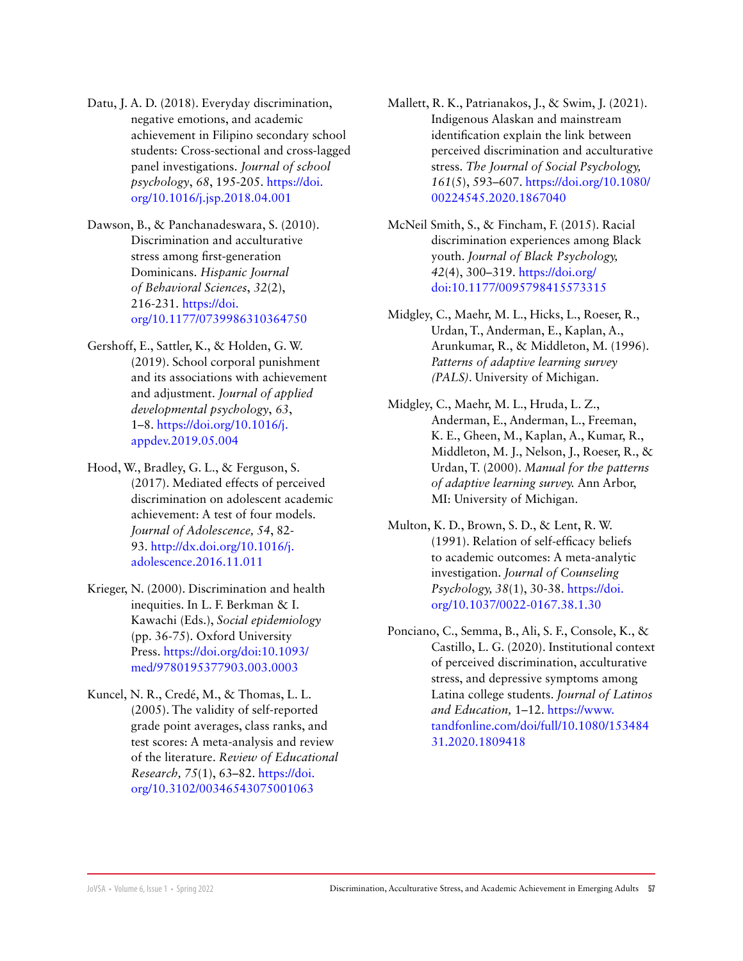- Datu, J. A. D. (2018). Everyday discrimination, negative emotions, and academic achievement in Filipino secondary school students: Cross-sectional and cross-lagged panel investigations. *Journal of school psychology*, *68*, 195-205. [https://doi.](https://psycnet.apa.org/doi/10.1016/j.jsp.2018.04.001) [org/10.1016/j.jsp.2018.04.001](https://psycnet.apa.org/doi/10.1016/j.jsp.2018.04.001)
- Dawson, B., & Panchanadeswara, S. (2010). Discrimination and acculturative stress among first-generation Dominicans. *Hispanic Journal of Behavioral Sciences*, *32*(2), 216-231. [https://doi.](https://doi.org/10.1177/0739986310364750) [org/10.1177/0739986310364750](https://doi.org/10.1177/0739986310364750)
- Gershoff, E., Sattler, K., & Holden, G. W. (2019). School corporal punishment and its associations with achievement and adjustment. *Journal of applied developmental psychology*, *63*, 1–8. [https://doi.org/10.1016/j.](https://www.sciencedirect.com/science/article/abs/pii/S0193397318302466?via%3Dihub) [appdev.2019.05.004](https://www.sciencedirect.com/science/article/abs/pii/S0193397318302466?via%3Dihub)
- Hood, W., Bradley, G. L., & Ferguson, S. (2017). Mediated effects of perceived discrimination on adolescent academic achievement: A test of four models. *Journal of Adolescence, 54*, 82- 93. [http://dx.doi.org/10.1016/j.](https://onlinelibrary.wiley.com/doi/10.1016/j.adolescence.2016.11.011) [adolescence.2016.11.011](https://onlinelibrary.wiley.com/doi/10.1016/j.adolescence.2016.11.011)
- Krieger, N. (2000). Discrimination and health inequities. In L. F. Berkman & I. Kawachi (Eds.), *Social epidemiology* (pp. 36-75). Oxford University Press. [https://doi.org/doi:10.1093/](https://doi.org/doi:10.1093/med/9780195377903.003.0003 ) [med/9780195377903.003.0003](https://doi.org/doi:10.1093/med/9780195377903.003.0003 )
- Kuncel, N. R., Credé, M., & Thomas, L. L. (2005). The validity of self-reported grade point averages, class ranks, and test scores: A meta-analysis and review of the literature. *Review of Educational Research, 75*(1), 63–82. [https://doi.](https://doi.org/10.3102/00346543075001063 ) [org/10.3102/00346543075001063](https://doi.org/10.3102/00346543075001063 )
- Mallett, R. K., Patrianakos, J., & Swim, J. (2021). Indigenous Alaskan and mainstream identification explain the link between perceived discrimination and acculturative stress. *The Journal of Social Psychology, 161*(5), 593–607. [https://doi.org/10.1080/](https://doi.org/10.1080/00224545.2020.1867040) [00224545.2020.1867040](https://doi.org/10.1080/00224545.2020.1867040)
- McNeil Smith, S., & Fincham, F. (2015). Racial discrimination experiences among Black youth. *Journal of Black Psychology, 42*(4), 300–319. [https://doi.org/](https://journals.sagepub.com/doi/10.1177/0095798415573315)  [doi:10.1177/0095798415573315](https://journals.sagepub.com/doi/10.1177/0095798415573315)
- Midgley, C., Maehr, M. L., Hicks, L., Roeser, R., Urdan, T., Anderman, E., Kaplan, A., Arunkumar, R., & Middleton, M. (1996). *Patterns of adaptive learning survey (PALS)*. University of Michigan.
- Midgley, C., Maehr, M. L., Hruda, L. Z., Anderman, E., Anderman, L., Freeman, K. E., Gheen, M., Kaplan, A., Kumar, R., Middleton, M. J., Nelson, J., Roeser, R., & Urdan, T. (2000). *Manual for the patterns of adaptive learning survey.* Ann Arbor, MI: University of Michigan.
- Multon, K. D., Brown, S. D., & Lent, R. W. (1991). Relation of self-efficacy beliefs to academic outcomes: A meta-analytic investigation. *Journal of Counseling Psychology, 38*(1), 30-38. [https://doi.](https://doi.org/10.1037/0022-0167.38.1.30 ) [org/10.1037/0022-0167.38.1.30](https://doi.org/10.1037/0022-0167.38.1.30 )
- Ponciano, C., Semma, B., Ali, S. F., Console, K., & Castillo, L. G. (2020). Institutional context of perceived discrimination, acculturative stress, and depressive symptoms among Latina college students. *Journal of Latinos and Education,* 1–12. [https://www.](https://www.tandfonline.com/doi/full/10.1080/15348431.2020.1809418) [tandfonline.com/doi/full/10.1080/153484](https://www.tandfonline.com/doi/full/10.1080/15348431.2020.1809418) [31.2020.1809418](https://www.tandfonline.com/doi/full/10.1080/15348431.2020.1809418)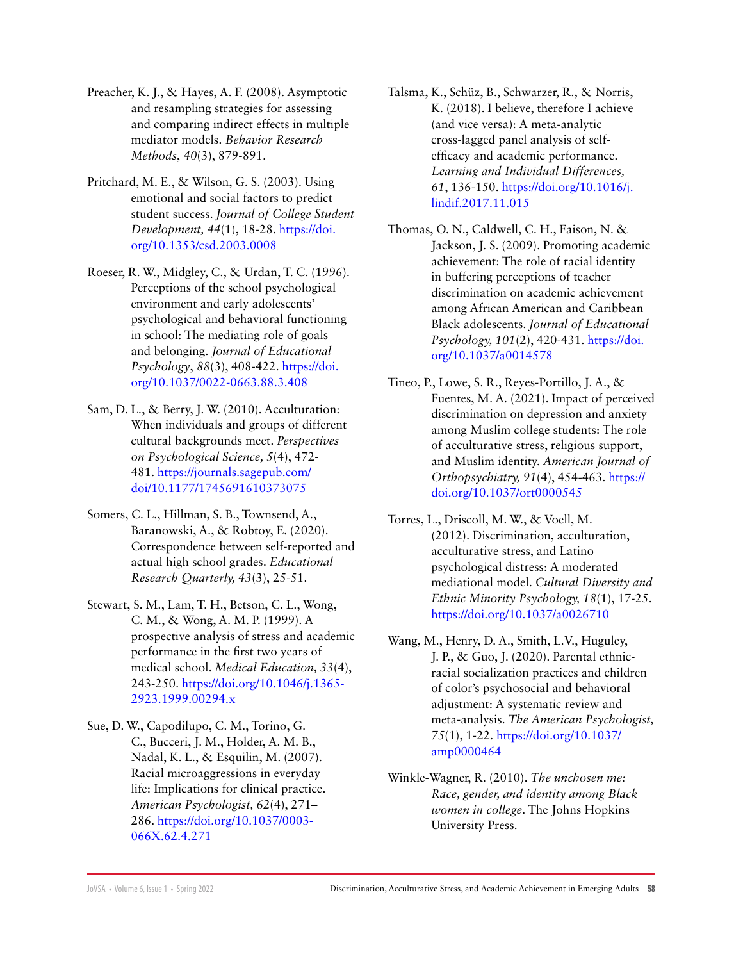- Preacher, K. J., & Hayes, A. F. (2008). Asymptotic and resampling strategies for assessing and comparing indirect effects in multiple mediator models. *Behavior Research Methods*, *40*(3), 879-891.
- Pritchard, M. E., & Wilson, G. S. (2003). Using emotional and social factors to predict student success. *Journal of College Student Development, 44*(1), 18-28. [https://doi.](https://doi.org/10.1353/csd.2003.0008 ) [org/10.1353/csd.2003.0008](https://doi.org/10.1353/csd.2003.0008 )
- Roeser, R. W., Midgley, C., & Urdan, T. C. (1996). Perceptions of the school psychological environment and early adolescents' psychological and behavioral functioning in school: The mediating role of goals and belonging. *Journal of Educational Psychology*, *88*(3), 408-422. [https://doi.](https://doi.apa.org/doiLanding?doi=10.1037%2F0022-0663.88.3.408) [org/10.1037/0022-0663.88.3.408](https://doi.apa.org/doiLanding?doi=10.1037%2F0022-0663.88.3.408)
- Sam, D. L., & Berry, J. W. (2010). Acculturation: When individuals and groups of different cultural backgrounds meet. *Perspectives on Psychological Science, 5*(4), 472- 481. [https://journals.sagepub.com/](https://journals.sagepub.com/doi/10.1177/1745691610373075) [doi/10.1177/1745691610373075](https://journals.sagepub.com/doi/10.1177/1745691610373075)
- Somers, C. L., Hillman, S. B., Townsend, A., Baranowski, A., & Robtoy, E. (2020). Correspondence between self-reported and actual high school grades. *Educational Research Quarterly, 43*(3), 25-51.
- Stewart, S. M., Lam, T. H., Betson, C. L., Wong, C. M., & Wong, A. M. P. (1999). A prospective analysis of stress and academic performance in the first two years of medical school. *Medical Education, 33*(4), 243-250. https://doi.org/10.1046/j.1365- 2923.1999.00294.x
- Sue, D. W., Capodilupo, C. M., Torino, G. C., Bucceri, J. M., Holder, A. M. B., Nadal, K. L., & Esquilin, M. (2007). Racial microaggressions in everyday life: Implications for clinical practice. *American Psychologist, 62*(4), 271– 286. https://doi.org/10.1037/0003- 066X.62.4.271
- Talsma, K., Schüz, B., Schwarzer, R., & Norris, K. (2018). I believe, therefore I achieve (and vice versa): A meta-analytic cross-lagged panel analysis of selfefficacy and academic performance. *Learning and Individual Differences, 61*, 136-150. [https://doi.org/10.1016/j.](https://doi.org/10.1016/j.lindif.2017.11.015 ) [lindif.2017.11.015](https://doi.org/10.1016/j.lindif.2017.11.015 )
- Thomas, O. N., Caldwell, C. H., Faison, N. & Jackson, J. S. (2009). Promoting academic achievement: The role of racial identity in buffering perceptions of teacher discrimination on academic achievement among African American and Caribbean Black adolescents. *Journal of Educational Psychology, 101*(2), 420-431. [https://doi.](https://doi.org/10.1037/a0014578 ) [org/10.1037/a0014578](https://doi.org/10.1037/a0014578 )
- Tineo, P., Lowe, S. R., Reyes-Portillo, J. A., & Fuentes, M. A. (2021). Impact of perceived discrimination on depression and anxiety among Muslim college students: The role of acculturative stress, religious support, and Muslim identity. *American Journal of Orthopsychiatry, 91*(4), 454-463. [https://](https://doi.apa.org/doiLanding?doi=10.1037%2Fort0000545) [doi.org/10.1037/ort0000545](https://doi.apa.org/doiLanding?doi=10.1037%2Fort0000545)
- Torres, L., Driscoll, M. W., & Voell, M. (2012). Discrimination, acculturation, acculturative stress, and Latino psychological distress: A moderated mediational model. *Cultural Diversity and Ethnic Minority Psychology, 18*(1), 17-25. https://doi.org/10.1037/a0026710
- Wang, M., Henry, D. A., Smith, L.V., Huguley, J. P., & Guo, J. (2020). Parental ethnicracial socialization practices and children of color's psychosocial and behavioral adjustment: A systematic review and meta-analysis. *The American Psychologist, 75*(1), 1-22. [https://doi.org/10.1037/](https://doi.org/10.1037/amp0000464) [amp0000464](https://doi.org/10.1037/amp0000464)
- Winkle-Wagner, R. (2010). *The unchosen me: Race, gender, and identity among Black women in college*. The Johns Hopkins University Press.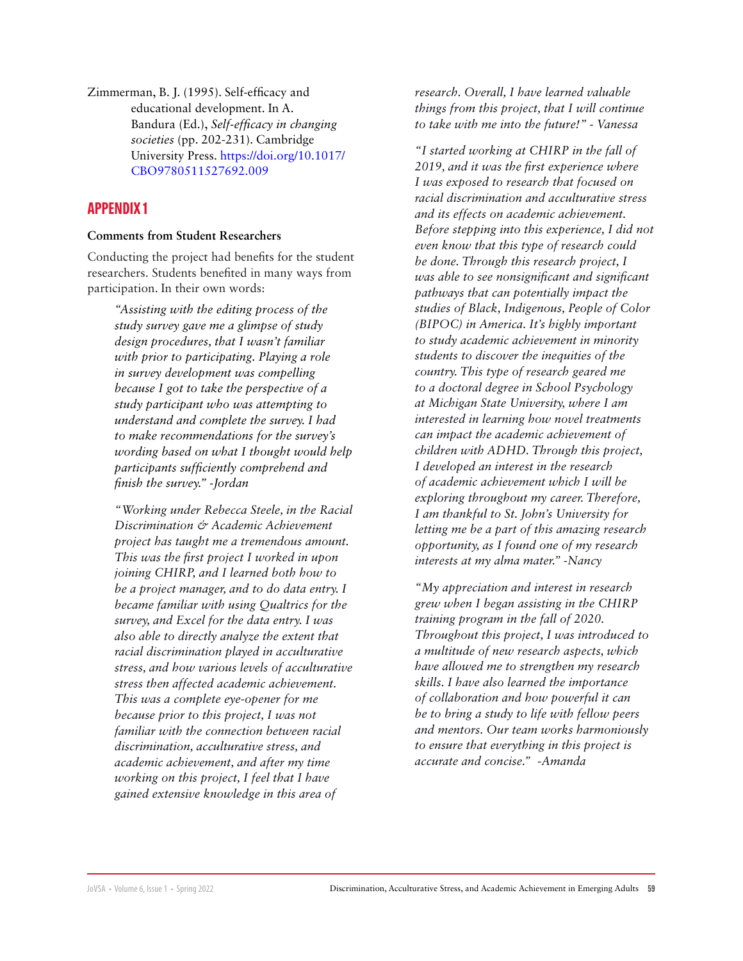Zimmerman, B. J. (1995). Self-efficacy and educational development. In A. Bandura (Ed.), *Self-efficacy in changing societies* (pp. 202-231). Cambridge University Press. [https://doi.org/10.1017/](https://psycnet.apa.org/doi/10.1017/CBO9780511527692.009) [CBO9780511527692.009](https://psycnet.apa.org/doi/10.1017/CBO9780511527692.009)

# **APPENDIX 1**

#### **Comments from Student Researchers**

Conducting the project had benefits for the student researchers. Students benefited in many ways from participation. In their own words:

> *"Assisting with the editing process of the study survey gave me a glimpse of study design procedures, that I wasn't familiar with prior to participating. Playing a role in survey development was compelling because I got to take the perspective of a study participant who was attempting to understand and complete the survey. I had to make recommendations for the survey's wording based on what I thought would help participants sufficiently comprehend and finish the survey." -Jordan*

> *"Working under Rebecca Steele, in the Racial Discrimination & Academic Achievement project has taught me a tremendous amount. This was the first project I worked in upon joining CHIRP, and I learned both how to be a project manager, and to do data entry. I became familiar with using Qualtrics for the survey, and Excel for the data entry. I was also able to directly analyze the extent that racial discrimination played in acculturative stress, and how various levels of acculturative stress then affected academic achievement. This was a complete eye-opener for me because prior to this project, I was not familiar with the connection between racial discrimination, acculturative stress, and academic achievement, and after my time working on this project, I feel that I have gained extensive knowledge in this area of*

*research. Overall, I have learned valuable things from this project, that I will continue to take with me into the future!" - Vanessa* 

*"I started working at CHIRP in the fall of 2019, and it was the first experience where I was exposed to research that focused on racial discrimination and acculturative stress and its effects on academic achievement. Before stepping into this experience, I did not even know that this type of research could be done. Through this research project, I was able to see nonsignificant and significant pathways that can potentially impact the studies of Black, Indigenous, People of Color (BIPOC) in America. It's highly important to study academic achievement in minority students to discover the inequities of the country. This type of research geared me to a doctoral degree in School Psychology at Michigan State University, where I am interested in learning how novel treatments can impact the academic achievement of children with ADHD. Through this project, I developed an interest in the research of academic achievement which I will be exploring throughout my career. Therefore, I am thankful to St. John's University for letting me be a part of this amazing research opportunity, as I found one of my research interests at my alma mater." -Nancy*

*"My appreciation and interest in research grew when I began assisting in the CHIRP training program in the fall of 2020. Throughout this project, I was introduced to a multitude of new research aspects, which have allowed me to strengthen my research skills. I have also learned the importance of collaboration and how powerful it can be to bring a study to life with fellow peers and mentors. Our team works harmoniously to ensure that everything in this project is accurate and concise." -Amanda*